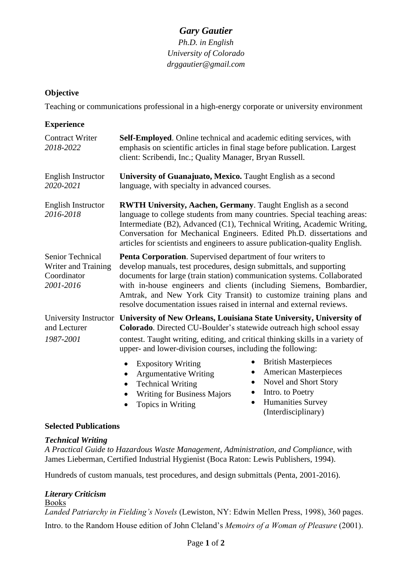# *Gary Gautier*

*Ph.D. in English University of Colorado [drggautier@gmail.com](mailto:drggautier@gmail.com)*

# **Objective**

Teaching or communications professional in a high-energy corporate or university environment

| <b>Experience</b>                                                   |                                                                                                                                                                                                                                                                                                                                                                                                                                     |
|---------------------------------------------------------------------|-------------------------------------------------------------------------------------------------------------------------------------------------------------------------------------------------------------------------------------------------------------------------------------------------------------------------------------------------------------------------------------------------------------------------------------|
| <b>Contract Writer</b><br>2018-2022                                 | <b>Self-Employed.</b> Online technical and academic editing services, with<br>emphasis on scientific articles in final stage before publication. Largest<br>client: Scribendi, Inc.; Quality Manager, Bryan Russell.                                                                                                                                                                                                                |
| <b>English Instructor</b><br>2020-2021                              | University of Guanajuato, Mexico. Taught English as a second<br>language, with specialty in advanced courses.                                                                                                                                                                                                                                                                                                                       |
| <b>English Instructor</b><br>2016-2018                              | <b>RWTH University, Aachen, Germany</b> . Taught English as a second<br>language to college students from many countries. Special teaching areas:<br>Intermediate (B2), Advanced (C1), Technical Writing, Academic Writing,<br>Conversation for Mechanical Engineers. Edited Ph.D. dissertations and<br>articles for scientists and engineers to assure publication-quality English.                                                |
| Senior Technical<br>Writer and Training<br>Coordinator<br>2001-2016 | Penta Corporation. Supervised department of four writers to<br>develop manuals, test procedures, design submittals, and supporting<br>documents for large (train station) communication systems. Collaborated<br>with in-house engineers and clients (including Siemens, Bombardier,<br>Amtrak, and New York City Transit) to customize training plans and<br>resolve documentation issues raised in internal and external reviews. |
| and Lecturer<br>1987-2001                                           | University Instructor University of New Orleans, Louisiana State University, University of<br>Colorado. Directed CU-Boulder's statewide outreach high school essay<br>contest. Taught writing, editing, and critical thinking skills in a variety of<br>upper- and lower-division courses, including the following:                                                                                                                 |
|                                                                     | <b>British Masterpieces</b><br><b>Expository Writing</b><br><b>American Masterpieces</b><br>$\bullet$<br><b>Argumentative Writing</b><br>Novel and Short Story<br>٠<br><b>Technical Writing</b><br>Intro. to Poetry<br>$\bullet$<br><b>Writing for Business Majors</b><br><b>Humanities Survey</b><br>$\bullet$<br>Topics in Writing                                                                                                |

(Interdisciplinary)

# **Selected Publications**

## *Technical Writing*

*A Practical Guide to Hazardous Waste Management, Administration, and Compliance*, with James Lieberman, Certified Industrial Hygienist (Boca Raton: Lewis Publishers, 1994).

Hundreds of custom manuals, test procedures, and design submittals (Penta, 2001-2016).

# *Literary Criticism*

Books *Landed Patriarchy in Fielding's Novels* (Lewiston, NY: Edwin Mellen Press, 1998), 360 pages. Intro. to the Random House edition of John Cleland's *Memoirs of a Woman of Pleasure* (2001).